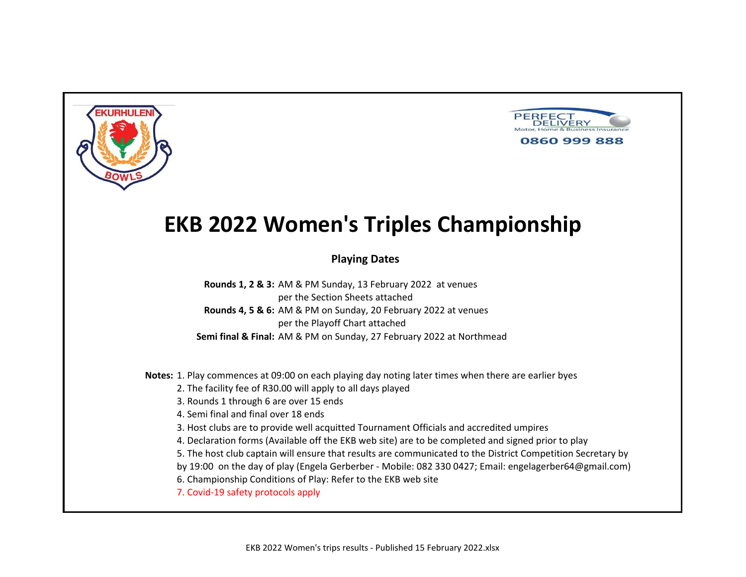



### **Playing Dates**

**Rounds 1, 2 & 3:** AM & PM Sunday, 13 February 2022 at venues per the Section Sheets attached **Rounds 4, 5 & 6:** AM & PM on Sunday, 20 February 2022 at venues per the Playoff Chart attached **Semi final & Final:** AM & PM on Sunday, 27 February 2022 at Northmead

**Notes:** 1. Play commences at 09:00 on each playing day noting later times when there are earlier byes

2. The facility fee of R30.00 will apply to all days played

3. Rounds 1 through 6 are over 15 ends

4. Semi final and final over 18 ends

3. Host clubs are to provide well acquitted Tournament Officials and accredited umpires

4. Declaration forms (Available off the EKB web site) are to be completed and signed prior to play

5. The host club captain will ensure that results are communicated to the District Competition Secretary by

by 19:00 on the day of play (Engela Gerberber - Mobile: 082 330 0427; Email: engelagerber64@gmail.com)

6. Championship Conditions of Play: Refer to the EKB web site

7. Covid-19 safety protocols apply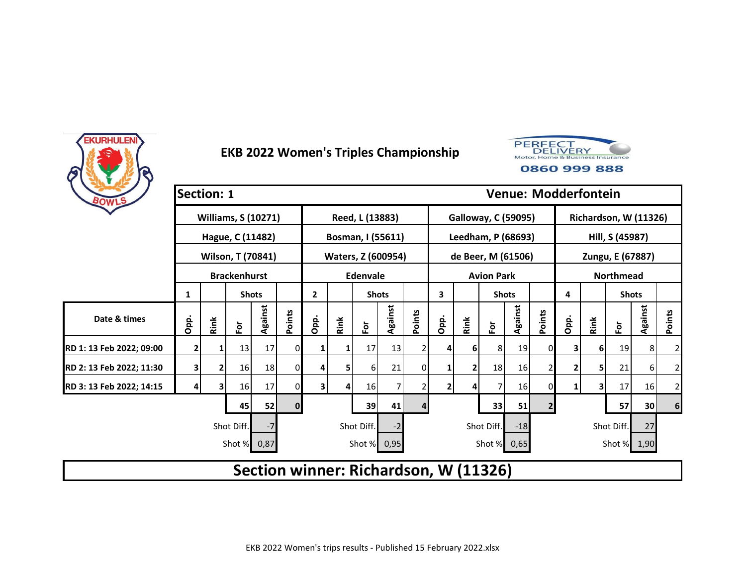



| BOWLS                    | <b>Section: 1</b> |      |                            |         |                |                |      |                    |         |        |                |      |                                       |         |                |                | <b>Venue: Modderfontein</b> |                  |                 |                |
|--------------------------|-------------------|------|----------------------------|---------|----------------|----------------|------|--------------------|---------|--------|----------------|------|---------------------------------------|---------|----------------|----------------|-----------------------------|------------------|-----------------|----------------|
|                          |                   |      | <b>Williams, S (10271)</b> |         |                |                |      | Reed, L (13883)    |         |        |                |      | <b>Galloway, C (59095)</b>            |         |                |                | Richardson, W (11326)       |                  |                 |                |
|                          |                   |      | Hague, C (11482)           |         |                |                |      | Bosman, I (55611)  |         |        |                |      | Leedham, P (68693)                    |         |                |                |                             | Hill, S (45987)  |                 |                |
|                          |                   |      | Wilson, T (70841)          |         |                |                |      | Waters, Z (600954) |         |        |                |      | de Beer, M (61506)                    |         |                |                |                             | Zungu, E (67887) |                 |                |
|                          |                   |      | <b>Brackenhurst</b>        |         |                |                |      | Edenvale           |         |        |                |      | <b>Avion Park</b>                     |         |                |                |                             | <b>Northmead</b> |                 |                |
|                          | 1                 |      | <b>Shots</b>               |         |                | $\overline{2}$ |      | <b>Shots</b>       |         |        | 3              |      | <b>Shots</b>                          |         |                | 4              |                             | <b>Shots</b>     |                 |                |
| Date & times             | Opp.              | Rink | $\overline{\mathsf{P}}$    | Against | Points         | Opp.           | Rink | $\bf \bar{e}$      | Against | Points | Opp.           | Rink | $\overline{\tilde{c}}$                | Against | Points         | Opp.           | Rink                        | $\bf \delta$     | Against         | Points         |
| RD 1: 13 Feb 2022; 09:00 | 2                 |      | 13                         | 17      | 01             |                |      | 17                 | 13      |        | 4              | 61   | 8                                     | 19      | 0              | 3              | 6                           | 19               | 8 <sup>1</sup>  | 2              |
| RD 2: 13 Feb 2022; 11:30 | 3                 | 2    | 16                         | 18      | $\overline{0}$ |                |      | 61                 | 21      | 0      | 1              | 2    | 18                                    | 16      |                | 2              | 5                           | 21               | $6 \mid$        | 2              |
| RD 3: 13 Feb 2022; 14:15 |                   |      | 16                         | 17      | $\overline{0}$ | 3              | 4    | 16 <sup>l</sup>    | 7       |        | $\overline{2}$ |      |                                       | 16      |                | 1 <sup>1</sup> | 3                           | 17               | 16              | $\overline{2}$ |
|                          |                   |      | 45                         | 52      | $\mathbf{0}$   |                |      | 39                 | 41      |        |                |      | 33                                    | 51      | $\overline{2}$ |                |                             | 57               | 30 <sub>l</sub> | 6              |
|                          |                   |      | Shot Diff.                 | $-7$    |                |                |      | Shot Diff.         | -2      |        |                |      | Shot Diff.                            | $-18$   |                |                |                             | Shot Diff.       | 27              |                |
|                          |                   |      | Shot % 0,87                |         |                |                |      | Shot % 0,95        |         |        |                |      | Shot %                                | 0,65    |                |                |                             | Shot % 1,90      |                 |                |
|                          |                   |      |                            |         |                |                |      |                    |         |        |                |      | Section winner: Richardson, W (11326) |         |                |                |                             |                  |                 |                |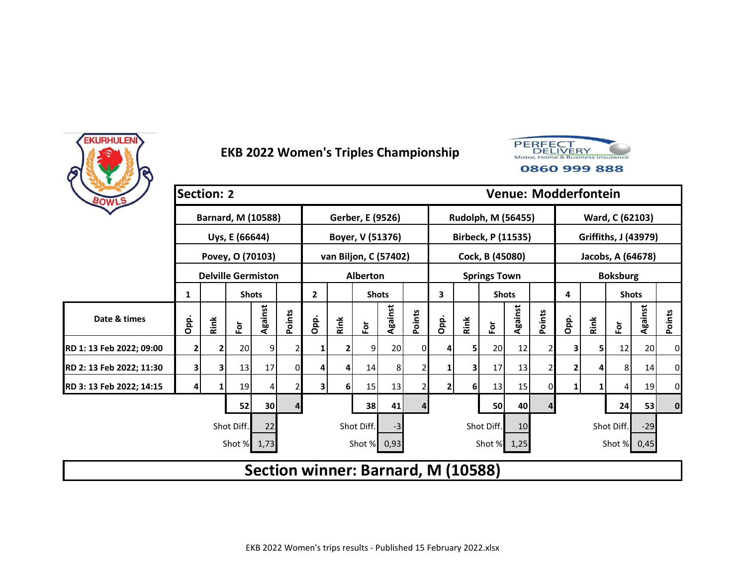



| BOWLS                    | <b>Section: 2</b> |      |                           |         |        |                                    |          |                       |         |        |              |      |                           | <b>Venue: Modderfontein</b> |        |      |      |                   |                      |        |
|--------------------------|-------------------|------|---------------------------|---------|--------|------------------------------------|----------|-----------------------|---------|--------|--------------|------|---------------------------|-----------------------------|--------|------|------|-------------------|----------------------|--------|
|                          |                   |      | <b>Barnard, M (10588)</b> |         |        |                                    |          | Gerber, E (9526)      |         |        |              |      | Rudolph, M (56455)        |                             |        |      |      | Ward, C (62103)   |                      |        |
|                          |                   |      | Uys, E (66644)            |         |        |                                    |          | Boyer, V (51376)      |         |        |              |      | <b>Birbeck, P (11535)</b> |                             |        |      |      |                   | Griffiths, J (43979) |        |
|                          |                   |      | Povey, O (70103)          |         |        |                                    |          | van Biljon, C (57402) |         |        |              |      | Cock, B (45080)           |                             |        |      |      | Jacobs, A (64678) |                      |        |
|                          |                   |      | <b>Delville Germiston</b> |         |        |                                    |          | <b>Alberton</b>       |         |        |              |      | <b>Springs Town</b>       |                             |        |      |      | <b>Boksburg</b>   |                      |        |
|                          | 1                 |      | <b>Shots</b>              |         |        | $\overline{2}$                     |          | <b>Shots</b>          |         |        | 3            |      | <b>Shots</b>              |                             |        | 4    |      | <b>Shots</b>      |                      |        |
| Date & times             | Opp.              | Rink | Ēδ                        | Against | Points | Opp.                               | Rink     | $\bf \bar{e}$         | Against | Points | Opp.         | Rink | $\overline{\mathbf{e}}$   | Against                     | Points | Opp. | Rink | For               | Against              | Points |
| RD 1: 13 Feb 2022; 09:00 |                   |      | 20                        | 9       |        |                                    |          | 9                     | 20      | 0      | 4            | 5    | 20                        | 12                          | 2      | 31   | 5    | 12                | 20                   | 0      |
| RD 2: 13 Feb 2022; 11:30 | 3                 | 3    | 13                        | 17      | 0      | Δ                                  | 4        | 14                    | 8       |        |              | 3    | 17                        | 13                          | 2      | 2    |      | 8 <sub>l</sub>    | 14                   | 0      |
| RD 3: 13 Feb 2022; 14:15 | 4                 |      | 19                        | 4       |        | 3                                  | <b>6</b> | 15                    | 13      |        | $\mathbf{2}$ | 6    | 13                        | 15                          | 0      | 1    |      | $\overline{4}$    | 19                   | 0      |
|                          |                   |      | 52                        | 30      | 4      |                                    |          | 38                    | 41      | 4      |              |      | 50                        | 40                          | 4      |      |      | 24                | 53                   | 0      |
|                          |                   |      | Shot Diff.                | 22      |        |                                    |          | Shot Diff.            | $-3$    |        |              |      | Shot Diff.                | 10                          |        |      |      | Shot Diff.        | $-29$                |        |
|                          |                   |      | Shot % 1,73               |         |        |                                    |          | Shot %                | 0,93    |        |              |      | Shot % 1,25               |                             |        |      |      | Shot % 0,45       |                      |        |
|                          |                   |      |                           |         |        | Section winner: Barnard, M (10588) |          |                       |         |        |              |      |                           |                             |        |      |      |                   |                      |        |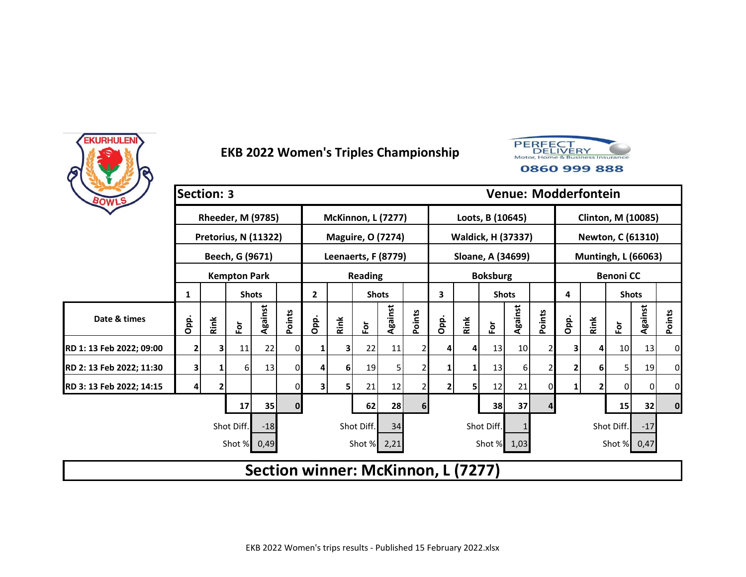



| BOWLS                    | <b>Section: 3</b>                                     |      |                          |         |              |              |      |                                    |         |        |      |      |                    |         |        |             | <b>Venue: Modderfontein</b> |                            |         |           |
|--------------------------|-------------------------------------------------------|------|--------------------------|---------|--------------|--------------|------|------------------------------------|---------|--------|------|------|--------------------|---------|--------|-------------|-----------------------------|----------------------------|---------|-----------|
|                          |                                                       |      | <b>Rheeder, M (9785)</b> |         |              |              |      | <b>McKinnon, L (7277)</b>          |         |        |      |      | Loots, B (10645)   |         |        |             |                             | <b>Clinton, M (10085)</b>  |         |           |
|                          |                                                       |      | Pretorius, N (11322)     |         |              |              |      | <b>Maguire, O (7274)</b>           |         |        |      |      | Waldick, H (37337) |         |        |             |                             | <b>Newton, C (61310)</b>   |         |           |
|                          |                                                       |      | Beech, G (9671)          |         |              |              |      | Leenaerts, F (8779)                |         |        |      |      | Sloane, A (34699)  |         |        |             |                             | <b>Muntingh, L (66063)</b> |         |           |
|                          |                                                       |      | <b>Kempton Park</b>      |         |              |              |      | <b>Reading</b>                     |         |        |      |      | <b>Boksburg</b>    |         |        |             |                             | <b>Benoni CC</b>           |         |           |
|                          | 1                                                     |      | <b>Shots</b>             |         |              | $\mathbf{2}$ |      | <b>Shots</b>                       |         |        | 3    |      | <b>Shots</b>       |         |        | 4           |                             | <b>Shots</b>               |         |           |
| Date & times             | Opp.                                                  | Rink | $\bar{\mathsf{P}}$       | Against | Points       | Opp.         | Rink | For                                | Against | Points | Opp. | Rink | Ĕōr                | Against | Points | Opp.        | Rink                        | $\bf \bar{e}$              | Against | Points    |
| RD 1: 13 Feb 2022; 09:00 | $\overline{2}$                                        |      | 11                       | 22      | 0            |              |      | 22                                 | 11      |        | 4    | 4    | 13                 | 10      |        | 3           | 4                           | 10 <sub>1</sub>            | 13      | $\pmb{0}$ |
| RD 2: 13 Feb 2022; 11:30 | 3                                                     |      | 6                        | 13      | 0            | 4            | 6    | 19                                 | 5       |        | 1    | 1    | 13                 | 6       |        |             | 6                           | 5                          | 19      | 0         |
| RD 3: 13 Feb 2022; 14:15 |                                                       |      |                          |         | 0            | 3            |      | 21                                 | 12      |        | 2    | 5    | 12                 | 21      |        | $\mathbf 1$ | 2                           | $\overline{0}$             | 0       | 0         |
|                          |                                                       |      | 17                       | 35      | $\mathbf{0}$ |              |      | 62                                 | 28      | 6      |      |      | 38                 | 37      |        |             |                             | 15                         | 32      | $\pmb{0}$ |
|                          | Shot Diff.<br>Shot Diff.<br>Shot Diff.<br>$-18$<br>34 |      |                          |         |              |              |      |                                    |         |        |      |      |                    |         |        |             |                             | Shot Diff.                 | $-17$   |           |
|                          |                                                       |      | Shot %                   | 0,49    |              |              |      | Shot % 2,21                        |         |        |      |      | Shot % 1,03        |         |        |             |                             | Shot % 0,47                |         |           |
|                          |                                                       |      |                          |         |              |              |      | Section winner: McKinnon, L (7277) |         |        |      |      |                    |         |        |             |                             |                            |         |           |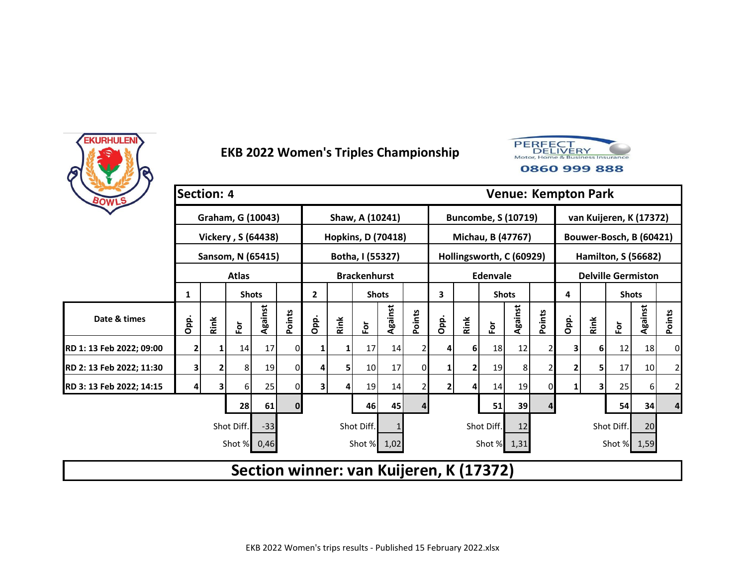



| BOWLS                    | <b>Section: 4</b> |      |                    |         |              |                |      |                           |         |        |                |                |                                         |         |        |      | <b>Venue: Kempton Park</b> |                            |         |                |
|--------------------------|-------------------|------|--------------------|---------|--------------|----------------|------|---------------------------|---------|--------|----------------|----------------|-----------------------------------------|---------|--------|------|----------------------------|----------------------------|---------|----------------|
|                          |                   |      | Graham, G (10043)  |         |              |                |      | Shaw, A (10241)           |         |        |                |                | <b>Buncombe, S (10719)</b>              |         |        |      |                            | van Kuijeren, K (17372)    |         |                |
|                          |                   |      | Vickery, S (64438) |         |              |                |      | <b>Hopkins, D (70418)</b> |         |        |                |                | Michau, B (47767)                       |         |        |      |                            | Bouwer-Bosch, B (60421)    |         |                |
|                          |                   |      | Sansom, N (65415)  |         |              |                |      | Botha, I (55327)          |         |        |                |                | Hollingsworth, C (60929)                |         |        |      |                            | <b>Hamilton, S (56682)</b> |         |                |
|                          |                   |      | <b>Atlas</b>       |         |              |                |      | <b>Brackenhurst</b>       |         |        |                |                | Edenvale                                |         |        |      |                            | <b>Delville Germiston</b>  |         |                |
|                          | 1                 |      | <b>Shots</b>       |         |              | $\overline{2}$ |      | <b>Shots</b>              |         |        | 3              |                | <b>Shots</b>                            |         |        | 4    |                            | <b>Shots</b>               |         |                |
| Date & times             | Opp.              | Rink | $\bar{\mathsf{P}}$ | Against | Points       | Opp.           | Rink | $\overline{\tilde{e}}$    | Against | Points | Opp.           | Rink           | $\bf \bar{e}$                           | Against | Points | Opp. | Rink                       | Ē٥                         | Against | Points         |
| RD 1: 13 Feb 2022; 09:00 | 2                 |      | 14                 | 17      | 0            |                |      | 17                        | 14      |        | 4              | 6 <sup>1</sup> | 18                                      | 12      |        | 3    | 6                          | 12                         | 18      | 0              |
| RD 2: 13 Feb 2022; 11:30 | 3                 |      | 8                  | 19      | 0            |                | 5    | 10 <sub>l</sub>           | 17      | 0      | 1              |                | 19                                      | 8       |        | 2    | 5                          | 17                         | 10      | 2              |
| RD 3: 13 Feb 2022; 14:15 |                   |      | 6                  | 25      | 0            | 3              |      | 19                        | 14      |        | $\overline{2}$ |                | 14                                      | 19      |        | 1    | 3                          | 25                         | 6       | $\overline{2}$ |
|                          |                   |      | 28                 | 61      | $\mathbf{0}$ |                |      | 46                        | 45      | 4      |                |                | 51                                      | 39      | 4      |      |                            | 54                         | 34      | 4              |
|                          |                   |      | Shot Diff.         | $-33$   |              |                |      | Shot Diff.                |         |        |                |                | Shot Diff.                              | 12      |        |      |                            | Shot Diff.                 | 20      |                |
|                          |                   |      | Shot %             | 0,46    |              |                |      | Shot % 1,02               |         |        |                |                | Shot %                                  | 1,31    |        |      |                            | Shot % 1,59                |         |                |
|                          |                   |      |                    |         |              |                |      |                           |         |        |                |                | Section winner: van Kuijeren, K (17372) |         |        |      |                            |                            |         |                |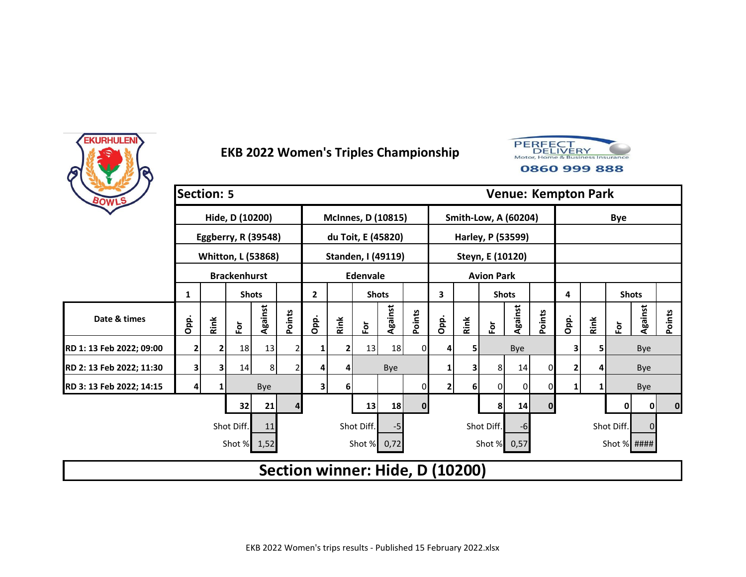



| BOWLS                    | <b>Section: 5</b> |              |                           |                |        |                                 |      |                 |                           |              |      |      |                      |                             |              | <b>Venue: Kempton Park</b> |      |               |          |          |
|--------------------------|-------------------|--------------|---------------------------|----------------|--------|---------------------------------|------|-----------------|---------------------------|--------------|------|------|----------------------|-----------------------------|--------------|----------------------------|------|---------------|----------|----------|
|                          |                   |              | Hide, D (10200)           |                |        |                                 |      |                 | <b>McInnes, D (10815)</b> |              |      |      |                      | <b>Smith-Low, A (60204)</b> |              |                            |      | <b>Bye</b>    |          |          |
|                          |                   |              | Eggberry, R (39548)       |                |        |                                 |      |                 | du Toit, E (45820)        |              |      |      |                      | Harley, P (53599)           |              |                            |      |               |          |          |
|                          |                   |              | <b>Whitton, L (53868)</b> |                |        |                                 |      |                 | Standen, I (49119)        |              |      |      | Steyn, E (10120)     |                             |              |                            |      |               |          |          |
|                          |                   |              | <b>Brackenhurst</b>       |                |        |                                 |      | <b>Edenvale</b> |                           |              |      |      | <b>Avion Park</b>    |                             |              |                            |      |               |          |          |
|                          | 1                 |              | <b>Shots</b>              |                |        | $\overline{2}$                  |      | <b>Shots</b>    |                           |              | 3    |      | <b>Shots</b>         |                             |              | 4                          |      | <b>Shots</b>  |          |          |
| Date & times             | Opp.              | Rink         | $\mathbf{\tilde{e}}$      | Against        | Points | Opp.                            | Rink | For             | Against                   | Points       | Opp. | Rink | $\mathbf{\tilde{e}}$ | Against                     | Points       | Opp.                       | Rink | $\bf \bar{e}$ | Against  | Points   |
| RD 1: 13 Feb 2022; 09:00 | 2                 | $\mathbf{2}$ | 18                        | 13             |        |                                 |      | 13              | 18                        | 0            | 4    |      |                      | Bye                         |              | 3                          | 5    |               | Bye      |          |
| RD 2: 13 Feb 2022; 11:30 | 3                 | 3            | 14                        | 8 <sup>1</sup> |        |                                 |      |                 | Bye                       |              | 1    |      | 8 <sup>1</sup>       | 14                          | 0            | 2                          | 4    |               | Bye      |          |
| RD 3: 13 Feb 2022; 14:15 |                   |              |                           | Bye            |        | 3                               | 6    |                 |                           | 0            | 2    | 6    | 0                    | 0                           | 0            | $1\vert$                   |      |               | Bye      |          |
|                          |                   |              | 32                        | 21             |        |                                 |      | 13              | 18                        | $\mathbf{0}$ |      |      | 8                    | 14                          | $\mathbf{0}$ |                            |      | 0             | 0        | $\bf{0}$ |
|                          |                   |              | Shot Diff.                | 11             |        |                                 |      | Shot Diff.      | -5                        |              |      |      | Shot Diff.           | -6                          |              |                            |      | Shot Diff.    | $\Omega$ |          |
|                          |                   |              | Shot % 1,52               |                |        |                                 |      | Shot % 0,72     |                           |              |      |      | Shot % 0,57          |                             |              |                            |      | Shot % ####   |          |          |
|                          |                   |              |                           |                |        | Section winner: Hide, D (10200) |      |                 |                           |              |      |      |                      |                             |              |                            |      |               |          |          |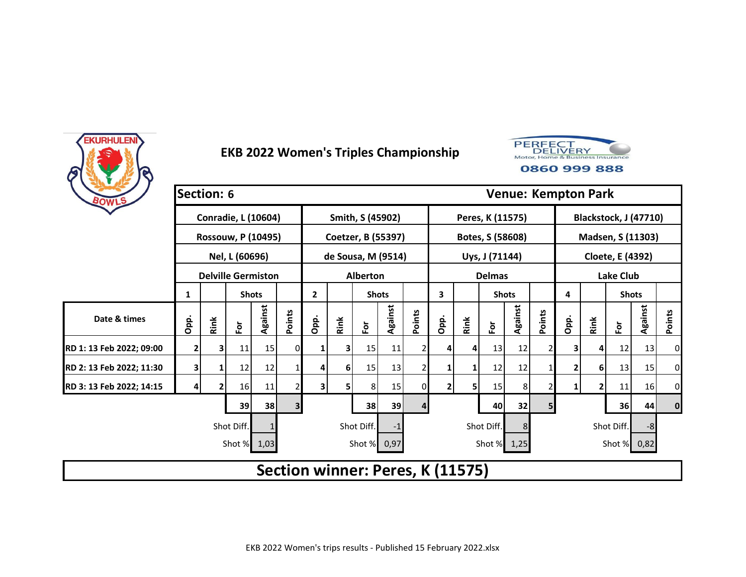



| BOWLS                    | <b>Section: 6</b> |      |                            |         |                |                |      |                    |         |        |                                  |      |                  |         |        |                | <b>Venue: Kempton Park</b> |                       |         |          |
|--------------------------|-------------------|------|----------------------------|---------|----------------|----------------|------|--------------------|---------|--------|----------------------------------|------|------------------|---------|--------|----------------|----------------------------|-----------------------|---------|----------|
|                          |                   |      | <b>Conradie, L (10604)</b> |         |                |                |      | Smith, S (45902)   |         |        |                                  |      | Peres, K (11575) |         |        |                |                            | Blackstock, J (47710) |         |          |
|                          |                   |      | <b>Rossouw, P (10495)</b>  |         |                |                |      | Coetzer, B (55397) |         |        |                                  |      | Botes, S (58608) |         |        |                |                            | Madsen, S (11303)     |         |          |
|                          |                   |      | Nel, L (60696)             |         |                |                |      | de Sousa, M (9514) |         |        |                                  |      | Uys, J (71144)   |         |        |                |                            | Cloete, E (4392)      |         |          |
|                          |                   |      | <b>Delville Germiston</b>  |         |                |                |      | Alberton           |         |        |                                  |      | <b>Delmas</b>    |         |        |                |                            | <b>Lake Club</b>      |         |          |
|                          | 1                 |      | <b>Shots</b>               |         |                | $\overline{2}$ |      | <b>Shots</b>       |         |        | 3                                |      | <b>Shots</b>     |         |        | 4              |                            | <b>Shots</b>          |         |          |
| Date & times             | Opp.              | Rink | $\overline{\mathsf{P}}$    | Against | Points         | Opp.           | Rink | $\bf \bar{e}$      | Against | Points | Opp.                             | Rink | $\bf \bar{e}$    | Against | Points | Opp.           | Rink                       | $\bf \delta$          | Against | Points   |
| RD 1: 13 Feb 2022; 09:00 | 2                 | 3.   | 11                         | 15      | ΟI             |                | 3    | 15                 | 11      | 2      | 4                                | 4    | 13               | 12      |        | 3              | 4                          | 12                    | 13      | 0        |
| RD 2: 13 Feb 2022; 11:30 | 3                 |      | 12                         | 12      |                | 4              | 6    | 15                 | 13      |        | 1                                | 1    | 12               | 12      |        | 2              | 6                          | 13                    | 15      | 0        |
| RD 3: 13 Feb 2022; 14:15 |                   |      | 16                         | 11      |                | 3              | 5    | 8                  | 15      | 0      | $\overline{2}$                   | 5    | 15               | 8       |        | 1 <sup>1</sup> | 2                          | 11                    | 16      | 0        |
|                          |                   |      | 39                         | 38      | 3 <sup>1</sup> |                |      | 38                 | 39      | 4      |                                  |      | 40               | 32      | 5      |                |                            | 36 <sup>1</sup>       | 44      | $\bf{0}$ |
|                          |                   |      | Shot Diff.                 |         |                |                |      | Shot Diff.         | -1      |        |                                  |      | Shot Diff.       | 8       |        |                |                            | Shot Diff.            | -8      |          |
|                          |                   |      | Shot % 1,03                |         |                |                |      | Shot % 0,97        |         |        |                                  |      | Shot % 1,25      |         |        |                |                            | Shot % 0,82           |         |          |
|                          |                   |      |                            |         |                |                |      |                    |         |        | Section winner: Peres, K (11575) |      |                  |         |        |                |                            |                       |         |          |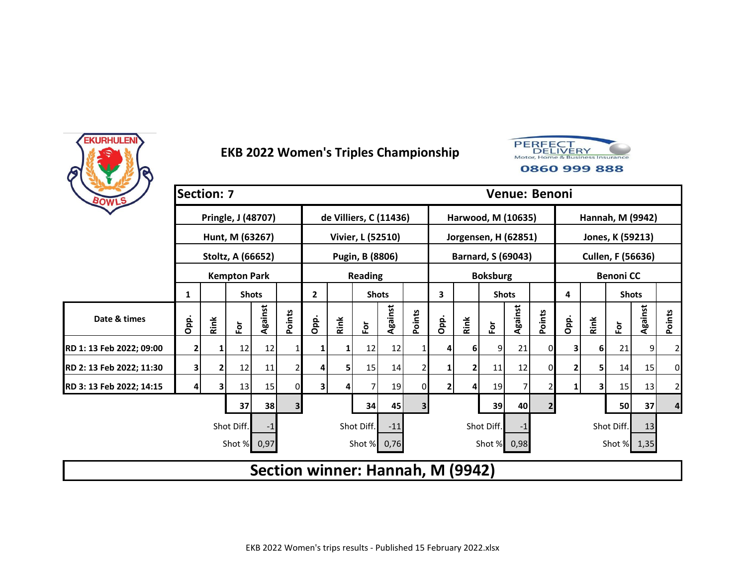



| BOWLS                    | <b>Section: 7</b> |      |                     |         |                |                |      |                        |         |                |                                  |      |                         |         | Venue: Benoni  |      |      |                   |         |        |
|--------------------------|-------------------|------|---------------------|---------|----------------|----------------|------|------------------------|---------|----------------|----------------------------------|------|-------------------------|---------|----------------|------|------|-------------------|---------|--------|
|                          |                   |      | Pringle, J (48707)  |         |                |                |      | de Villiers, C (11436) |         |                |                                  |      | Harwood, M (10635)      |         |                |      |      | Hannah, M (9942)  |         |        |
|                          |                   |      | Hunt, M (63267)     |         |                |                |      | Vivier, L (52510)      |         |                |                                  |      | Jorgensen, H (62851)    |         |                |      |      | Jones, K (59213)  |         |        |
|                          |                   |      | Stoltz, A (66652)   |         |                |                |      | Pugin, B (8806)        |         |                |                                  |      | Barnard, S (69043)      |         |                |      |      | Cullen, F (56636) |         |        |
|                          |                   |      | <b>Kempton Park</b> |         |                |                |      | <b>Reading</b>         |         |                |                                  |      | <b>Boksburg</b>         |         |                |      |      | <b>Benoni CC</b>  |         |        |
|                          | 1                 |      | <b>Shots</b>        |         |                | $\overline{2}$ |      | <b>Shots</b>           |         |                | 3                                |      | <b>Shots</b>            |         |                | 4    |      | <b>Shots</b>      |         |        |
| Date & times             | Opp.              | Rink | Ēδ                  | Against | Points         | Opp.           | Rink | $\bf \bar{e}$          | Against | Points         | Opp.                             | Rink | $\overline{\mathbf{e}}$ | Against | Points         | Opp. | Rink | $\bf \bar{e}$     | Against | Points |
| RD 1: 13 Feb 2022; 09:00 | $\overline{2}$    |      | 12                  | 12      |                |                |      | 12                     | 12      |                | 4                                | 6    | 9                       | 21      | 0              | 3    | 6    | 21                | 9       | 2      |
| RD 2: 13 Feb 2022; 11:30 | 3 <sub>1</sub>    |      | 12                  | 11      |                | 4              | 5    | 15                     | 14      | 2              | 1                                | 2    | 11                      | 12      | $\Omega$       | 2    | 5    | 14                | 15      | 0      |
| RD 3: 13 Feb 2022; 14:15 | 4                 | 3    | 13                  | 15      | 0              | 3              |      |                        | 19      | 01             | $\overline{2}$                   | 4    | 19                      |         |                | 1    | 3    | 15                | 13      | 2      |
|                          |                   |      | 37                  | 38      | 3 <sup>1</sup> |                |      | 34                     | 45      | 3 <sup>l</sup> |                                  |      | 39                      | 40      | 2 <sub>1</sub> |      |      | 50                | 37      | 4      |
|                          |                   |      | Shot Diff.          | -1      |                |                |      | Shot Diff.             | $-11$   |                |                                  |      | Shot Diff.              | -1      |                |      |      | Shot Diff.        | 13      |        |
|                          |                   |      | Shot % 0,97         |         |                |                |      | Shot % 0,76            |         |                |                                  |      | Shot %                  | 0,98    |                |      |      | Shot % 1,35       |         |        |
|                          |                   |      |                     |         |                |                |      |                        |         |                | Section winner: Hannah, M (9942) |      |                         |         |                |      |      |                   |         |        |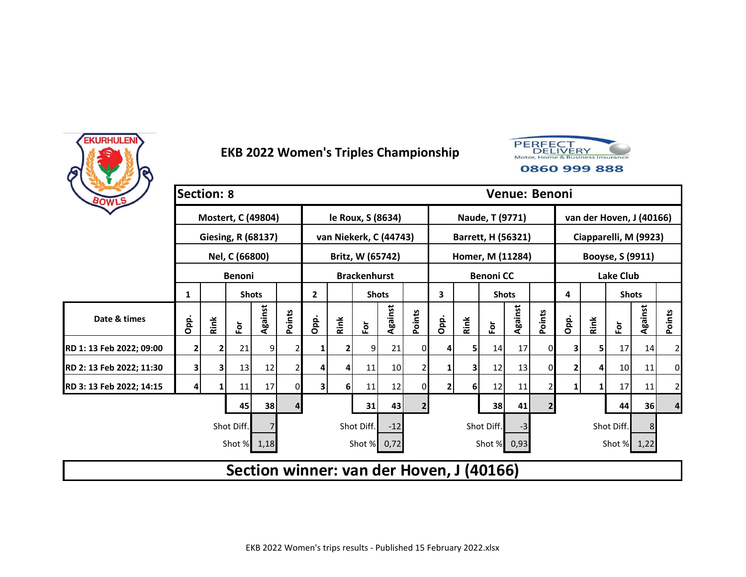



| BOWLS                    | <b>Section: 8</b>       |      |                         |         |        |                |      |                        |         |                |              |                |                                          |         | Venue: Benoni  |      |      |                          |         |        |
|--------------------------|-------------------------|------|-------------------------|---------|--------|----------------|------|------------------------|---------|----------------|--------------|----------------|------------------------------------------|---------|----------------|------|------|--------------------------|---------|--------|
|                          |                         |      | Mostert, C (49804)      |         |        |                |      | le Roux, S (8634)      |         |                |              |                | Naude, T (9771)                          |         |                |      |      | van der Hoven, J (40166) |         |        |
|                          |                         |      | Giesing, R (68137)      |         |        |                |      | van Niekerk, C (44743) |         |                |              |                | Barrett, H (56321)                       |         |                |      |      | Ciapparelli, M (9923)    |         |        |
|                          |                         |      | Nel, C (66800)          |         |        |                |      | Britz, W (65742)       |         |                |              |                | Homer, M (11284)                         |         |                |      |      | Booyse, S (9911)         |         |        |
|                          |                         |      | <b>Benoni</b>           |         |        |                |      | <b>Brackenhurst</b>    |         |                |              |                | <b>Benoni CC</b>                         |         |                |      |      | <b>Lake Club</b>         |         |        |
|                          | 1                       |      | <b>Shots</b>            |         |        | $\overline{2}$ |      | <b>Shots</b>           |         |                | 3            |                | <b>Shots</b>                             |         |                | 4    |      | <b>Shots</b>             |         |        |
| Date & times             | Opp.                    | Rink | $\overline{\mathsf{P}}$ | Against | Points | Opp.           | Rink | E                      | Against | Points         | Opp.         | Rink           | $\overline{\mathbf{e}}$                  | Against | Points         | Opp. | Rink | ĔŌ                       | Against | Points |
| RD 1: 13 Feb 2022; 09:00 | 2                       |      | 21                      | 9       |        |                |      | 9                      | 21      | 0              | 4            | 5              | 14                                       | 17      | 0              | 3    | 5    | 17                       | 14      | 2      |
| RD 2: 13 Feb 2022; 11:30 | $\overline{\mathbf{3}}$ | 3    | 13                      | 12      |        | 4              | 4    | 11                     | 10      | 2              | 1            | 3              | 12                                       | 13      | 0              | 2    | 4    | 10                       | 11      | 0      |
| RD 3: 13 Feb 2022; 14:15 |                         |      | 11                      | 17      | 0      | 3              | 6    | 11                     | 12      | 0              | $\mathbf{2}$ | 6 <sup>1</sup> | 12                                       | 11      |                | 1    | 1    | 17                       | 11      | 2      |
|                          |                         |      | 45                      | 38      | 4      |                |      | 31                     | 43      | $\overline{2}$ |              |                | 38                                       | 41      | 2 <sub>1</sub> |      |      | 44                       | 36      | 4      |
|                          |                         |      | Shot Diff.              |         |        |                |      | Shot Diff.             | $-12$   |                |              |                | Shot Diff.                               | -3      |                |      |      | Shot Diff.               | 8       |        |
|                          |                         |      | Shot % 1,18             |         |        |                |      | Shot % 0,72            |         |                |              |                | Shot % 0,93                              |         |                |      |      | Shot % 1,22              |         |        |
|                          |                         |      |                         |         |        |                |      |                        |         |                |              |                | Section winner: van der Hoven, J (40166) |         |                |      |      |                          |         |        |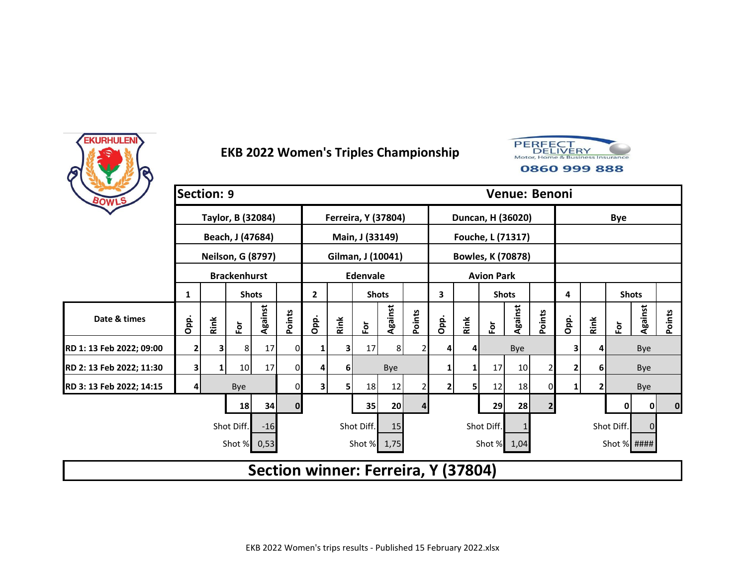



| BOWLS                    | <b>Section: 9</b> |      |                          |         |              |                |      |                 |                            |        |                                     |      |                          | Venue: Benoni |                |      |      |               |             |          |
|--------------------------|-------------------|------|--------------------------|---------|--------------|----------------|------|-----------------|----------------------------|--------|-------------------------------------|------|--------------------------|---------------|----------------|------|------|---------------|-------------|----------|
|                          |                   |      | Taylor, B (32084)        |         |              |                |      |                 | <b>Ferreira, Y (37804)</b> |        |                                     |      | Duncan, H (36020)        |               |                |      |      | <b>Bye</b>    |             |          |
|                          |                   |      | Beach, J (47684)         |         |              |                |      | Main, J (33149) |                            |        |                                     |      | Fouche, L (71317)        |               |                |      |      |               |             |          |
|                          |                   |      | <b>Neilson, G (8797)</b> |         |              |                |      |                 | Gilman, J (10041)          |        |                                     |      | <b>Bowles, K (70878)</b> |               |                |      |      |               |             |          |
|                          |                   |      | <b>Brackenhurst</b>      |         |              |                |      | <b>Edenvale</b> |                            |        |                                     |      | <b>Avion Park</b>        |               |                |      |      |               |             |          |
|                          | 1                 |      | <b>Shots</b>             |         |              | $\overline{2}$ |      | <b>Shots</b>    |                            |        | 3                                   |      | <b>Shots</b>             |               |                | 4    |      | <b>Shots</b>  |             |          |
| Date & times             | Opp.              | Rink | Ēδ                       | Against | Points       | Opp.           | Rink | $\bf \bar{e}$   | Against                    | Points | Opp.                                | Rink | $\overline{\mathbf{e}}$  | Against       | Points         | Opp. | Rink | $\bf \bar{e}$ | Against     | Points   |
| RD 1: 13 Feb 2022; 09:00 | $\overline{2}$    | 3    | 8                        | 17      | $\Omega$     |                | 3    | 17 <sup>1</sup> | 8 <sup>1</sup>             | 2      | 4                                   | 4    |                          | Bye           |                | 3    | 4    |               | Bye         |          |
| RD 2: 13 Feb 2022; 11:30 | 3                 | 1    | 10                       | 17      | 0            | 4              | 6    |                 | Bye                        |        | 1                                   |      | 17                       | 10            | 2              | 2    | 6    |               | Bye         |          |
| RD 3: 13 Feb 2022; 14:15 | 4                 |      | Bye                      |         | 01           | 3              | 5    | 18              | 12                         |        | 2                                   | 5    | 12                       | 18            | 0              | 1    | 2    |               | Bye         |          |
|                          |                   |      | 18                       | 34      | $\mathbf{0}$ |                |      | 35              | 20                         | 4      |                                     |      | 29                       | 28            | $\overline{2}$ |      |      | 0             | 0           | $\bf{0}$ |
|                          |                   |      | Shot Diff.               | $-16$   |              |                |      | Shot Diff.      | 15                         |        |                                     |      | Shot Diff.               |               |                |      |      | Shot Diff.    | $\Omega$    |          |
|                          |                   |      | Shot % 0,53              |         |              |                |      |                 | Shot % 1,75                |        |                                     |      | Shot % 1,04              |               |                |      |      |               | Shot % #### |          |
|                          |                   |      |                          |         |              |                |      |                 |                            |        | Section winner: Ferreira, Y (37804) |      |                          |               |                |      |      |               |             |          |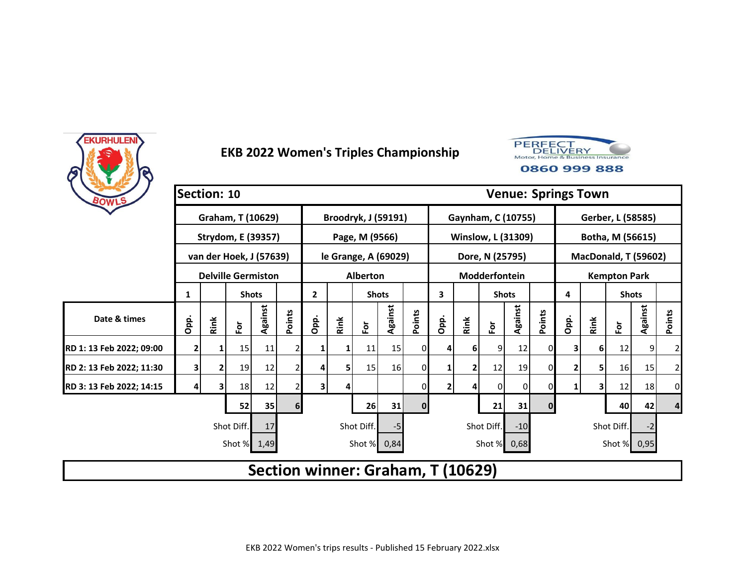



| BOWLS                    | Section: 10 |      |                           |         |                |                                   |      |                            |         |                |      |      |                           |         |              |              | <b>Venue: Springs Town</b> |                     |                 |        |
|--------------------------|-------------|------|---------------------------|---------|----------------|-----------------------------------|------|----------------------------|---------|----------------|------|------|---------------------------|---------|--------------|--------------|----------------------------|---------------------|-----------------|--------|
|                          |             |      | Graham, T (10629)         |         |                |                                   |      | <b>Broodryk, J (59191)</b> |         |                |      |      | Gaynham, C (10755)        |         |              |              | Gerber, L (58585)          |                     |                 |        |
|                          |             |      | Strydom, E (39357)        |         |                |                                   |      | Page, M (9566)             |         |                |      |      | <b>Winslow, L (31309)</b> |         |              |              | Botha, M (56615)           |                     |                 |        |
|                          |             |      | van der Hoek, J (57639)   |         |                |                                   |      | le Grange, A (69029)       |         |                |      |      | Dore, N (25795)           |         |              |              | MacDonald, T (59602)       |                     |                 |        |
|                          |             |      | <b>Delville Germiston</b> |         |                |                                   |      | Alberton                   |         |                |      |      | Modderfontein             |         |              |              |                            | <b>Kempton Park</b> |                 |        |
|                          | 1           |      | <b>Shots</b>              |         |                | $\overline{2}$                    |      | <b>Shots</b>               |         |                | 3    |      | <b>Shots</b>              |         |              | 4            |                            | <b>Shots</b>        |                 |        |
| Date & times             | Opp.        | Rink | έŏ                        | Against | Points         | Opp.                              | Rink | $\bf \bar{e}$              | Against | Points         | Opp. | Rink | $\bf \bar{e}$             | Against | Points       | Opp.         | Rink                       | $\bf \bar{e}$       | Against         | Points |
| RD 1: 13 Feb 2022; 09:00 | 2           |      | 15                        | 11      |                |                                   |      | 11                         | 15      | 0              | 4    | 6    | 9                         | 12      | 01           | 31           | 61                         | 12                  | 9               | 2      |
| RD 2: 13 Feb 2022; 11:30 | 3           | 2    | 19                        | 12      |                |                                   | 51   | 15                         | 16      | $\overline{0}$ | 1    | 2    | 12                        | 19      | $\Omega$     | 2            | 5                          | 16 <sup>1</sup>     | 15 <sub>l</sub> | 2      |
| RD 3: 13 Feb 2022; 14:15 |             | З    | 18                        | 12      |                | 3                                 |      |                            |         | 01             | 2    | 4    | $\mathbf 0$               | 0       | 0            | $\mathbf{1}$ | 3                          | 12                  | 18              | 0      |
|                          |             |      | 52                        | 35      | 6 <sup>1</sup> |                                   |      | 26                         | 31      | $\mathbf{0}$   |      |      | 21                        | 31      | $\mathbf{0}$ |              |                            | 40                  | 42              | 4      |
|                          |             |      | Shot Diff.                | 17      |                |                                   |      | Shot Diff.                 | -5      |                |      |      | Shot Diff.                | $-10$   |              |              |                            | Shot Diff.          | $-2$            |        |
|                          |             |      | Shot % 1,49               |         |                |                                   |      | Shot %                     | 0,84    |                |      |      | Shot % 0,68               |         |              |              |                            |                     | Shot % 0,95     |        |
|                          |             |      |                           |         |                | Section winner: Graham, T (10629) |      |                            |         |                |      |      |                           |         |              |              |                            |                     |                 |        |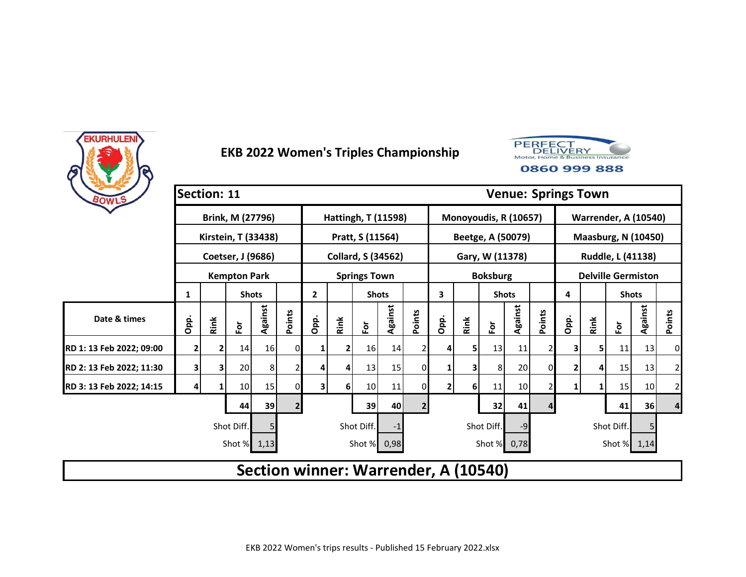



| BOWLS                    | Section: 11 |      |                     |         |                |                |                |                            |         |                |                |                |                                      |         |          |      | <b>Venue: Springs Town</b>  |              |                 |                |
|--------------------------|-------------|------|---------------------|---------|----------------|----------------|----------------|----------------------------|---------|----------------|----------------|----------------|--------------------------------------|---------|----------|------|-----------------------------|--------------|-----------------|----------------|
|                          |             |      | Brink, M (27796)    |         |                |                |                | <b>Hattingh, T (11598)</b> |         |                |                |                | Monoyoudis, R (10657)                |         |          |      | <b>Warrender, A (10540)</b> |              |                 |                |
|                          |             |      | Kirstein, T (33438) |         |                |                |                | Pratt, S (11564)           |         |                |                |                | Beetge, A (50079)                    |         |          |      | <b>Maasburg, N (10450)</b>  |              |                 |                |
|                          |             |      | Coetser, J (9686)   |         |                |                |                | <b>Collard, S (34562)</b>  |         |                |                |                | Gary, W (11378)                      |         |          |      | Ruddle, L (41138)           |              |                 |                |
|                          |             |      | <b>Kempton Park</b> |         |                |                |                | <b>Springs Town</b>        |         |                |                |                | <b>Boksburg</b>                      |         |          |      | <b>Delville Germiston</b>   |              |                 |                |
|                          | 1           |      | <b>Shots</b>        |         |                | $\overline{2}$ |                | <b>Shots</b>               |         |                | 3              |                | <b>Shots</b>                         |         |          | 4    |                             | <b>Shots</b> |                 |                |
| Date & times             | Opp.        | Rink | For                 | Against | Points         | Opp.           | Rink           | $\bf \bar{e}$              | Against | Points         | Opp.           | Rink           | $\overline{\tilde{c}}$               | Against | Points   | Opp. | Rink                        | έŏ           | Against         | Points         |
| RD 1: 13 Feb 2022; 09:00 | 2           |      | 14                  | 16      | 0              |                |                | 16                         | 14      |                | 4              | 5              | 13                                   | 11      |          | 3    | 5                           | 11           | 13              | 0              |
| RD 2: 13 Feb 2022; 11:30 | 3           | 3    | 20                  | 8       |                |                | 4              | 13                         | 15      | 0              | 1              | 3              | 8                                    | 20      | $\Omega$ | 2    | 4                           | 15           | 13              | 2              |
| RD 3: 13 Feb 2022; 14:15 |             |      | 10                  | 15      | $\Omega$       | 3              | 6 <sup>1</sup> | 10 <sup>1</sup>            | 11      | 0              | $\overline{2}$ | 6 <sup>1</sup> | 11                                   | 10      |          | 1    |                             | 15           | 10 <sub>l</sub> | $\overline{2}$ |
|                          |             |      | 44                  | 39      | $\overline{2}$ |                |                | 39                         | 40      | $\overline{2}$ |                |                | 32                                   | 41      |          |      |                             | 41           | 36 <sup>1</sup> | 4              |
|                          |             |      | Shot Diff.          |         |                |                |                | Shot Diff.                 | -1      |                |                |                | Shot Diff.                           | -9      |          |      |                             | Shot Diff.   |                 |                |
|                          |             |      | Shot % 1,13         |         |                |                |                | Shot % 0,98                |         |                |                |                | Shot %                               | 0,78    |          |      |                             | Shot % 1,14  |                 |                |
|                          |             |      |                     |         |                |                |                |                            |         |                |                |                | Section winner: Warrender, A (10540) |         |          |      |                             |              |                 |                |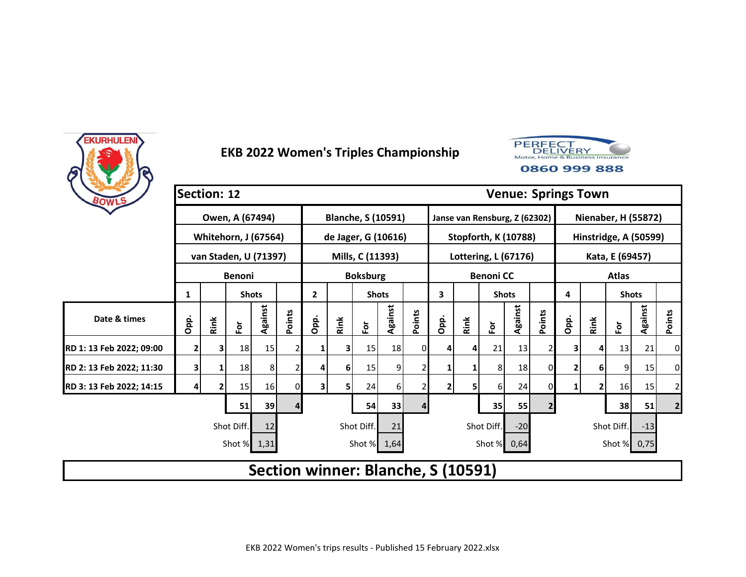



| BOWLS                    | <b>Section: 12</b> |      |                             |         |        |              |      |                           |         |        |                                    |      |                  |                               |                |      | <b>Venue: Springs Town</b> |                            |         |                |
|--------------------------|--------------------|------|-----------------------------|---------|--------|--------------|------|---------------------------|---------|--------|------------------------------------|------|------------------|-------------------------------|----------------|------|----------------------------|----------------------------|---------|----------------|
|                          |                    |      | Owen, A (67494)             |         |        |              |      | <b>Blanche, S (10591)</b> |         |        |                                    |      |                  | Janse van Rensburg, Z (62302) |                |      |                            | <b>Nienaber, H (55872)</b> |         |                |
|                          |                    |      | <b>Whitehorn, J (67564)</b> |         |        |              |      | de Jager, G (10616)       |         |        |                                    |      |                  | <b>Stopforth, K (10788)</b>   |                |      |                            | Hinstridge, A (50599)      |         |                |
|                          |                    |      | van Staden, U (71397)       |         |        |              |      | Mills, C (11393)          |         |        |                                    |      |                  | Lottering, L (67176)          |                |      |                            | Kata, E (69457)            |         |                |
|                          |                    |      | <b>Benoni</b>               |         |        |              |      | <b>Boksburg</b>           |         |        |                                    |      | <b>Benoni CC</b> |                               |                |      |                            | <b>Atlas</b>               |         |                |
|                          | 1                  |      | <b>Shots</b>                |         |        | $\mathbf{2}$ |      | <b>Shots</b>              |         |        | 3                                  |      | <b>Shots</b>     |                               |                | 4    |                            | <b>Shots</b>               |         |                |
| Date & times             | Opp.               | Rink | $\bf \bar{e}$               | Against | Points | Opp.         | Rink | $\bf \bar{e}$             | Against | Points | Opp.                               | Rink | Èŏ               | Against                       | Points         | Opp. | Rink                       | $\bf \bar{e}$              | Against | Points         |
| RD 1: 13 Feb 2022; 09:00 | 2                  | 3    | 18                          | 15      |        |              |      | 15                        | 18      | 01     | 4                                  | 4    | 21               | 13                            |                | 3    | 4                          | 13                         | 21      | 0              |
| RD 2: 13 Feb 2022; 11:30 | 3                  |      | 18                          | 8       |        | 4            | 6    | 15                        | 9       |        | 1                                  |      | 8                | 18                            | 0              |      | 6                          | 9                          | 15      | 0              |
| RD 3: 13 Feb 2022; 14:15 |                    |      | 15                          | 16      | 0      | 3            |      | 24                        | 6       |        | 2                                  | 5    | 6                | 24                            |                |      | 2                          | 16                         | 15      | $\overline{2}$ |
|                          |                    |      | 51                          | 39      | 4      |              |      | 54                        | 33      |        |                                    |      | 35               | 55                            | $\overline{2}$ |      |                            | 38                         | 51      | $\overline{2}$ |
|                          |                    |      | Shot Diff.                  | 12      |        |              |      | Shot Diff.                | 21      |        |                                    |      | Shot Diff.       | $-20$                         |                |      |                            | Shot Diff.                 | $-13$   |                |
|                          |                    |      | Shot %                      | 1,31    |        |              |      | Shot % 1,64               |         |        |                                    |      |                  | Shot % 0,64                   |                |      |                            | Shot % 0,75                |         |                |
|                          |                    |      |                             |         |        |              |      |                           |         |        | Section winner: Blanche, S (10591) |      |                  |                               |                |      |                            |                            |         |                |